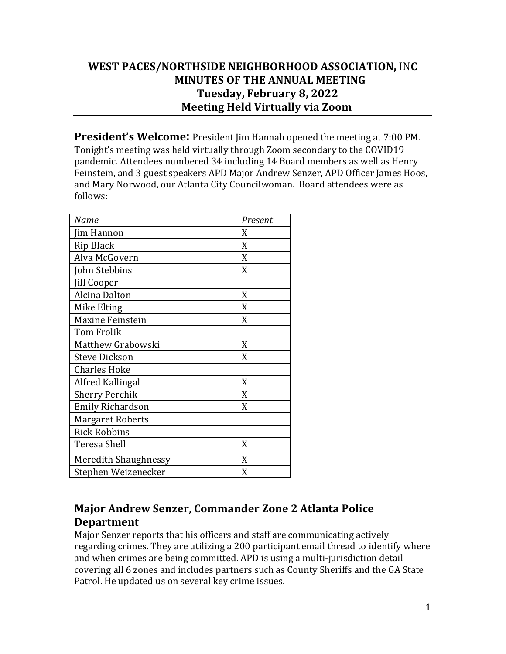# **WEST PACES/NORTHSIDE NEIGHBORHOOD ASSOCIATION,** IN**C MINUTES OF THE ANNUAL MEETING Tuesday, February 8, 2022 Meeting Held Virtually via Zoom**

**President's Welcome:** President Jim Hannah opened the meeting at 7:00 PM. Tonight's meeting was held virtually through Zoom secondary to the COVID19 pandemic. Attendees numbered 34 including 14 Board members as well as Henry Feinstein, and 3 guest speakers APD Major Andrew Senzer, APD Officer James Hoos, and Mary Norwood, our Atlanta City Councilwoman. Board attendees were as follows: 

| Name                    | Present |
|-------------------------|---------|
| Jim Hannon              | X       |
| Rip Black               | X       |
| Alva McGovern           | X       |
| John Stebbins           | X       |
| Jill Cooper             |         |
| Alcina Dalton           | X       |
| Mike Elting             | X       |
| <b>Maxine Feinstein</b> | X       |
| <b>Tom Frolik</b>       |         |
| Matthew Grabowski       | X       |
| <b>Steve Dickson</b>    | X       |
| <b>Charles Hoke</b>     |         |
| Alfred Kallingal        | X       |
| <b>Sherry Perchik</b>   | X       |
| <b>Emily Richardson</b> | X       |
| <b>Margaret Roberts</b> |         |
| <b>Rick Robbins</b>     |         |
| Teresa Shell            | X       |
| Meredith Shaughnessy    | X       |
| Stephen Weizenecker     | X       |

# **Major Andrew Senzer, Commander Zone 2 Atlanta Police Department**

Major Senzer reports that his officers and staff are communicating actively regarding crimes. They are utilizing a 200 participant email thread to identify where and when crimes are being committed. APD is using a multi-jurisdiction detail covering all 6 zones and includes partners such as County Sheriffs and the GA State Patrol. He updated us on several key crime issues.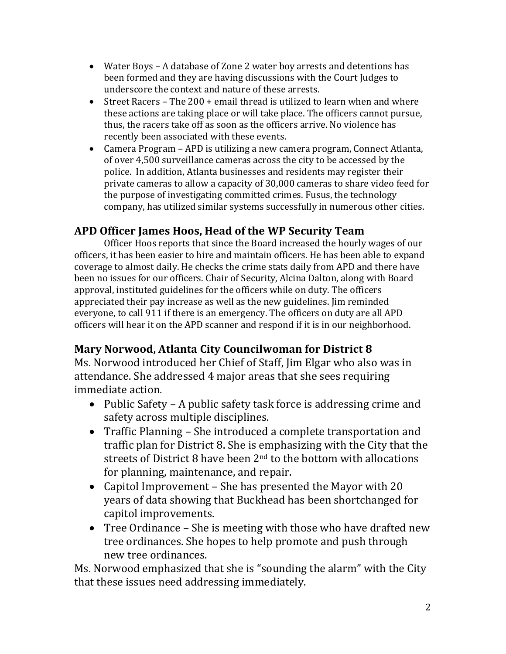- Water Boys A database of Zone 2 water boy arrests and detentions has been formed and they are having discussions with the Court Judges to underscore the context and nature of these arrests.
- Street Racers The 200 + email thread is utilized to learn when and where these actions are taking place or will take place. The officers cannot pursue, thus, the racers take off as soon as the officers arrive. No violence has recently been associated with these events.
- Camera Program APD is utilizing a new camera program, Connect Atlanta, of over 4,500 surveillance cameras across the city to be accessed by the police. In addition, Atlanta businesses and residents may register their private cameras to allow a capacity of 30,000 cameras to share video feed for the purpose of investigating committed crimes. Fusus, the technology company, has utilized similar systems successfully in numerous other cities.

# **APD Officer James Hoos, Head of the WP Security Team**

Officer Hoos reports that since the Board increased the hourly wages of our officers, it has been easier to hire and maintain officers. He has been able to expand coverage to almost daily. He checks the crime stats daily from APD and there have been no issues for our officers. Chair of Security, Alcina Dalton, along with Board approval, instituted guidelines for the officers while on duty. The officers appreciated their pay increase as well as the new guidelines. Jim reminded everyone, to call 911 if there is an emergency. The officers on duty are all APD officers will hear it on the APD scanner and respond if it is in our neighborhood.

# **Mary Norwood, Atlanta City Councilwoman for District 8**

Ms. Norwood introduced her Chief of Staff, Jim Elgar who also was in attendance. She addressed 4 major areas that she sees requiring immediate action.

- Public Safety A public safety task force is addressing crime and safety across multiple disciplines.
- Traffic Planning She introduced a complete transportation and traffic plan for District 8. She is emphasizing with the City that the streets of District 8 have been  $2<sup>nd</sup>$  to the bottom with allocations for planning, maintenance, and repair.
- Capitol Improvement She has presented the Mayor with  $20$ years of data showing that Buckhead has been shortchanged for capitol improvements.
- Tree Ordinance  $-$  She is meeting with those who have drafted new tree ordinances. She hopes to help promote and push through new tree ordinances.

Ms. Norwood emphasized that she is "sounding the alarm" with the City that these issues need addressing immediately.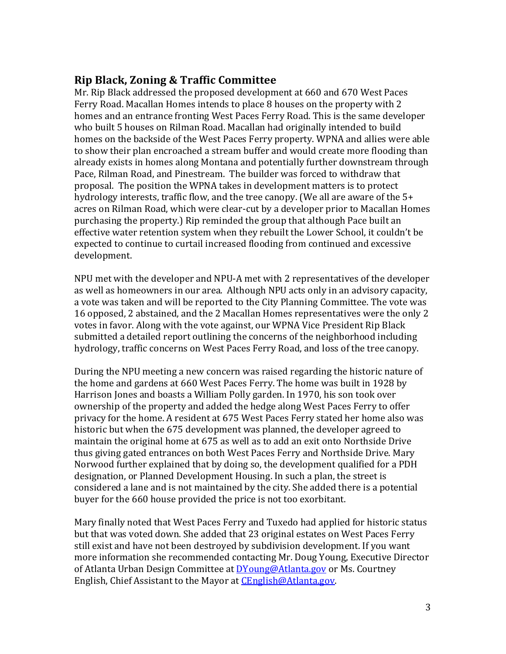### **Rip Black, Zoning & Traffic Committee**

Mr. Rip Black addressed the proposed development at 660 and 670 West Paces Ferry Road. Macallan Homes intends to place 8 houses on the property with 2 homes and an entrance fronting West Paces Ferry Road. This is the same developer who built 5 houses on Rilman Road. Macallan had originally intended to build homes on the backside of the West Paces Ferry property. WPNA and allies were able to show their plan encroached a stream buffer and would create more flooding than already exists in homes along Montana and potentially further downstream through Pace, Rilman Road, and Pinestream. The builder was forced to withdraw that proposal. The position the WPNA takes in development matters is to protect hydrology interests, traffic flow, and the tree canopy. (We all are aware of the  $5+$ acres on Rilman Road, which were clear-cut by a developer prior to Macallan Homes purchasing the property.) Rip reminded the group that although Pace built an effective water retention system when they rebuilt the Lower School, it couldn't be expected to continue to curtail increased flooding from continued and excessive development. 

NPU met with the developer and NPU-A met with 2 representatives of the developer as well as homeowners in our area. Although NPU acts only in an advisory capacity, a vote was taken and will be reported to the City Planning Committee. The vote was 16 opposed, 2 abstained, and the 2 Macallan Homes representatives were the only 2 votes in favor. Along with the vote against, our WPNA Vice President Rip Black submitted a detailed report outlining the concerns of the neighborhood including hydrology, traffic concerns on West Paces Ferry Road, and loss of the tree canopy.

During the NPU meeting a new concern was raised regarding the historic nature of the home and gardens at 660 West Paces Ferry. The home was built in 1928 by Harrison Jones and boasts a William Polly garden. In 1970, his son took over ownership of the property and added the hedge along West Paces Ferry to offer privacy for the home. A resident at 675 West Paces Ferry stated her home also was historic but when the 675 development was planned, the developer agreed to maintain the original home at 675 as well as to add an exit onto Northside Drive thus giving gated entrances on both West Paces Ferry and Northside Drive. Mary Norwood further explained that by doing so, the development qualified for a PDH designation, or Planned Development Housing. In such a plan, the street is considered a lane and is not maintained by the city. She added there is a potential buyer for the 660 house provided the price is not too exorbitant.

Mary finally noted that West Paces Ferry and Tuxedo had applied for historic status but that was voted down. She added that 23 original estates on West Paces Ferry still exist and have not been destroyed by subdivision development. If you want more information she recommended contacting Mr. Doug Young, Executive Director of Atlanta Urban Design Committee at DYoung@Atlanta.gov or Ms. Courtney English, Chief Assistant to the Mayor at CEnglish@Atlanta.gov.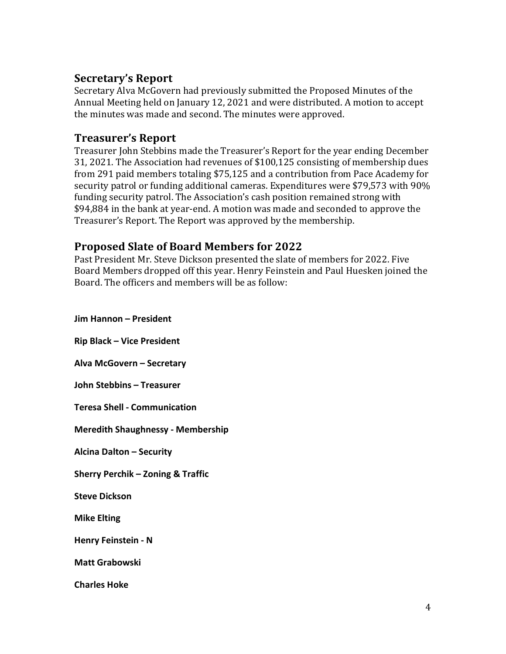## **Secretary's Report**

Secretary Alva McGovern had previously submitted the Proposed Minutes of the Annual Meeting held on January 12, 2021 and were distributed. A motion to accept the minutes was made and second. The minutes were approved.

### **Treasurer's Report**

Treasurer John Stebbins made the Treasurer's Report for the year ending December 31, 2021. The Association had revenues of \$100,125 consisting of membership dues from 291 paid members totaling \$75,125 and a contribution from Pace Academy for security patrol or funding additional cameras. Expenditures were \$79,573 with 90% funding security patrol. The Association's cash position remained strong with \$94,884 in the bank at year-end. A motion was made and seconded to approve the Treasurer's Report. The Report was approved by the membership.

### **Proposed Slate of Board Members for 2022**

Past President Mr. Steve Dickson presented the slate of members for 2022. Five Board Members dropped off this year. Henry Feinstein and Paul Huesken joined the Board. The officers and members will be as follow:

**Jim Hannon – President Rip Black – Vice President Alva McGovern – Secretary John Stebbins – Treasurer Teresa Shell - Communication Meredith Shaughnessy - Membership Alcina Dalton – Security Sherry Perchik – Zoning & Traffic Steve Dickson Mike Elting Henry Feinstein - N Matt Grabowski Charles Hoke**